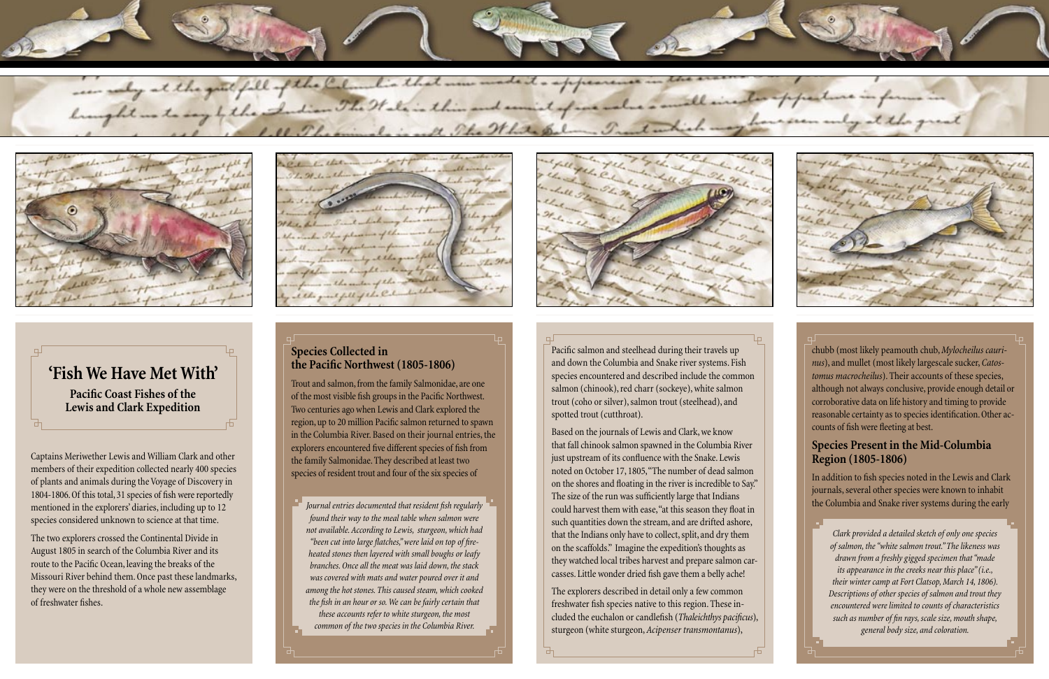Captains Meriwether Lewis and William Clark and other members of their expedition collected nearly 400 species of plants and animals during the Voyage of Discovery in 1804-1806. Of this total, 31 species of fish were reportedly mentioned in the explorers' diaries, including up to 12 species considered unknown to science at that time.

The two explorers crossed the Continental Divide in August 1805 in search of the Columbia River and its route to the Pacific Ocean, leaving the breaks of the Missouri River behind them. Once past these landmarks, they were on the threshold of a whole new assemblage of freshwater fishes.

1 the monty at they prese fell of the Cal





# **'Fish We Have Met With' Pacific Coast Fishes of the Lewis and Clark Expedition**

Pacific salmon and steelhead during their travels up and down the Columbia and Snake river systems. Fish species encountered and described include the common salmon (chinook), red charr (sockeye), white salmon trout (coho or silver), salmon trout (steelhead), and spotted trout (cutthroat).

Based on the journals of Lewis and Clark, we know that fall chinook salmon spawned in the Columbia River just upstream of its confluence with the Snake. Lewis noted on October 17, 1805, "The number of dead salmon on the shores and floating in the river is incredible to Say." The size of the run was sufficiently large that Indians could harvest them with ease, "at this season they float in such quantities down the stream, and are drifted ashore, that the Indians only have to collect, split, and dry them on the scaffolds." Imagine the expedition's thoughts as they watched local tribes harvest and prepare salmon carcasses. Little wonder dried fish gave them a belly ache!

The explorers described in detail only a few common freshwater fish species native to this region. These included the euchalon or candlefish (*Thaleichthys pacificus*), sturgeon (white sturgeon, *Acipenser transmontanus*),



chubb (most likely peamouth chub, *Mylocheilus caurinus*), and mullet (most likely largescale sucker, *Catostomus macrocheilus*). Their accounts of these species, although not always conclusive, provide enough detail or corroborative data on life history and timing to provide reasonable certainty as to species identification. Other accounts of fish were fleeting at best.

### **Species Present in the Mid-Columbia Region (1805-1806)**

In addition to fish species noted in the Lewis and Clark journals, several other species were known to inhabit the Columbia and Snake river systems during the early

## **Species Collected in the Pacific Northwest (1805-1806)**

Trout and salmon, from the family Salmonidae, are one of the most visible fish groups in the Pacific Northwest. Two centuries ago when Lewis and Clark explored the region, up to 20 million Pacific salmon returned to spawn in the Columbia River. Based on their journal entries, the explorers encountered five different species of fish from the family Salmonidae. They described at least two species of resident trout and four of the six species of

> *Clark provided a detailed sketch of only one species of salmon, the "white salmon trout." The likeness was drawn from a freshly gigged specimen that "made its appearance in the creeks near this place" (i.e., their winter camp at Fort Clatsop, March 14, 1806). Descriptions of other species of salmon and trout they encountered were limited to counts of characteristics such as number of fin rays, scale size, mouth shape, general body size, and coloration.*

*Journal entries documented that resident fish regularly found their way to the meal table when salmon were not available. According to Lewis, sturgeon, which had "been cut into large flatches," were laid on top of fireheated stones then layered with small boughs or leafy branches. Once all the meat was laid down, the stack was covered with mats and water poured over it and among the hot stones. This caused steam, which cooked the fish in an hour or so. We can be fairly certain that* 

*these accounts refer to white sturgeon, the most common of the two species in the Columbia River.*